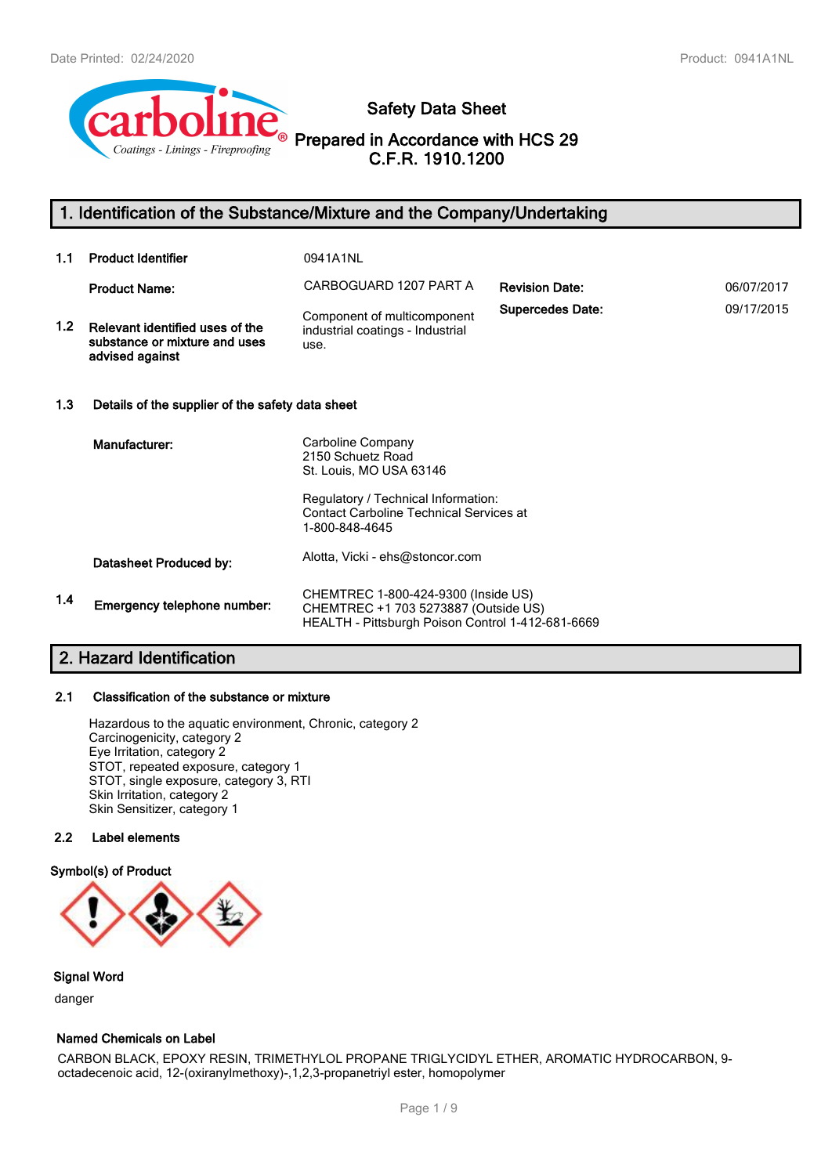

# **Safety Data Sheet**

**Prepared in Accordance with HCS 29 C.F.R. 1910.1200**

# **1. Identification of the Substance/Mixture and the Company/Undertaking**

| 1.1     | <b>Product Identifier</b>                                                           | 0941A1NL                                                                                                                                                                     |                         |            |
|---------|-------------------------------------------------------------------------------------|------------------------------------------------------------------------------------------------------------------------------------------------------------------------------|-------------------------|------------|
|         | <b>Product Name:</b>                                                                | CARBOGUARD 1207 PART A                                                                                                                                                       | <b>Revision Date:</b>   | 06/07/2017 |
| $1.2\,$ | Relevant identified uses of the<br>substance or mixture and uses<br>advised against | Component of multicomponent<br>industrial coatings - Industrial<br>use.                                                                                                      | <b>Supercedes Date:</b> | 09/17/2015 |
| 1.3     | Details of the supplier of the safety data sheet                                    |                                                                                                                                                                              |                         |            |
|         | Manufacturer:                                                                       | Carboline Company<br>2150 Schuetz Road<br>St. Louis, MO USA 63146<br>Regulatory / Technical Information:<br><b>Contact Carboline Technical Services at</b><br>1-800-848-4645 |                         |            |
|         | Datasheet Produced by:                                                              | Alotta, Vicki - ehs@stoncor.com                                                                                                                                              |                         |            |
| 1.4     | Emergency telephone number:                                                         | CHEMTREC 1-800-424-9300 (Inside US)<br>CHEMTREC +1 703 5273887 (Outside US)<br>HEALTH - Pittsburgh Poison Control 1-412-681-6669                                             |                         |            |

# **2. Hazard Identification**

# **2.1 Classification of the substance or mixture**

Hazardous to the aquatic environment, Chronic, category 2 Carcinogenicity, category 2 Eye Irritation, category 2 STOT, repeated exposure, category 1 STOT, single exposure, category 3, RTI Skin Irritation, category 2 Skin Sensitizer, category 1

### **2.2 Label elements**

#### **Symbol(s) of Product**



### **Signal Word**

danger

#### **Named Chemicals on Label**

CARBON BLACK, EPOXY RESIN, TRIMETHYLOL PROPANE TRIGLYCIDYL ETHER, AROMATIC HYDROCARBON, 9 octadecenoic acid, 12-(oxiranylmethoxy)-,1,2,3-propanetriyl ester, homopolymer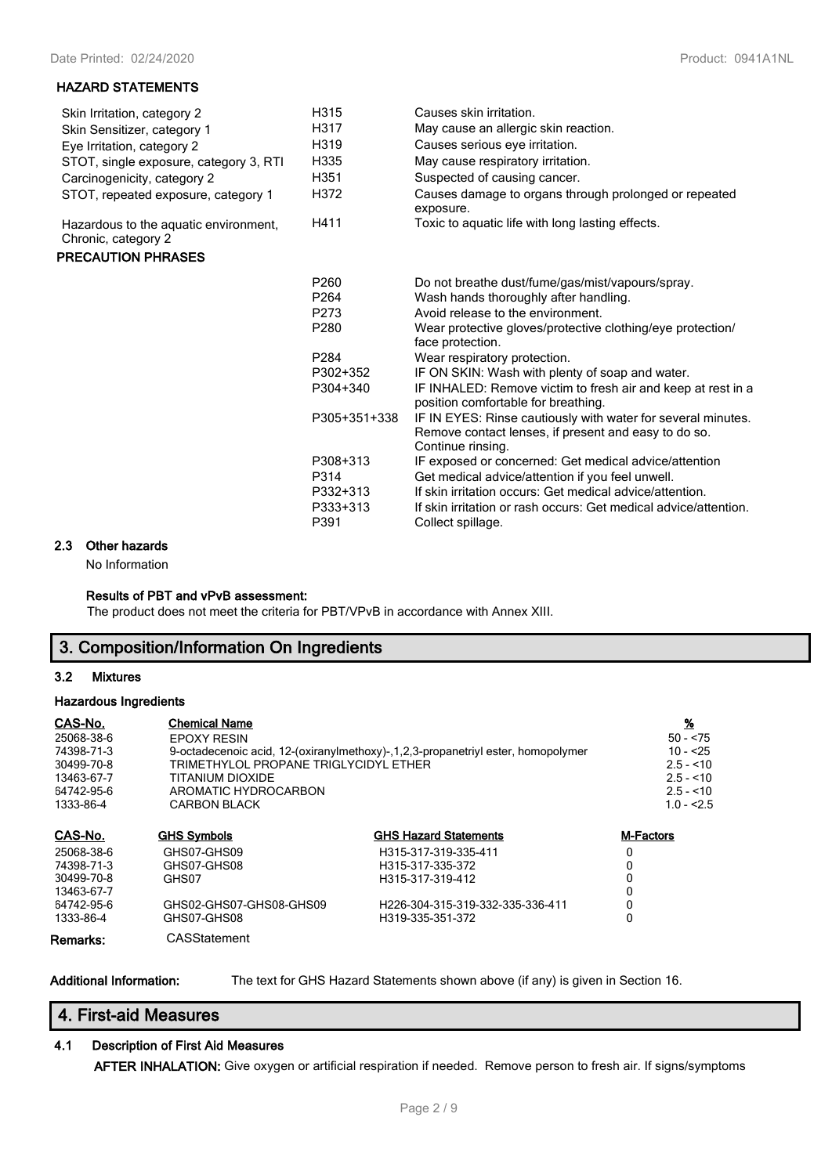### **HAZARD STATEMENTS**

| Skin Irritation, category 2                                  | H315             | Causes skin irritation.                                            |
|--------------------------------------------------------------|------------------|--------------------------------------------------------------------|
| Skin Sensitizer, category 1                                  | H317             | May cause an allergic skin reaction.                               |
| Eye Irritation, category 2                                   | H319             | Causes serious eye irritation.                                     |
| STOT, single exposure, category 3, RTI                       | H335             | May cause respiratory irritation.                                  |
| Carcinogenicity, category 2                                  | H <sub>351</sub> | Suspected of causing cancer.                                       |
| STOT, repeated exposure, category 1                          | H372             | Causes damage to organs through prolonged or repeated<br>exposure. |
| Hazardous to the aguatic environment,<br>Chronic, category 2 | H411             | Toxic to aquatic life with long lasting effects.                   |

#### **PRECAUTION PHRASES**

| P <sub>260</sub>  | Do not breathe dust/fume/gas/mist/vapours/spray.                                                                                          |
|-------------------|-------------------------------------------------------------------------------------------------------------------------------------------|
| P <sub>264</sub>  | Wash hands thoroughly after handling.                                                                                                     |
| P273              | Avoid release to the environment.                                                                                                         |
| P <sub>280</sub>  | Wear protective gloves/protective clothing/eye protection/<br>face protection.                                                            |
| P <sub>2</sub> 84 | Wear respiratory protection.                                                                                                              |
| P302+352          | IF ON SKIN: Wash with plenty of soap and water.                                                                                           |
| P304+340          | IF INHALED: Remove victim to fresh air and keep at rest in a<br>position comfortable for breathing.                                       |
| P305+351+338      | IF IN EYES: Rinse cautiously with water for several minutes.<br>Remove contact lenses, if present and easy to do so.<br>Continue rinsing. |
| P308+313          | IF exposed or concerned: Get medical advice/attention                                                                                     |
| P314              | Get medical advice/attention if you feel unwell.                                                                                          |
| P332+313          | If skin irritation occurs: Get medical advice/attention.                                                                                  |
| P333+313          | If skin irritation or rash occurs: Get medical advice/attention.                                                                          |
| P391              | Collect spillage.                                                                                                                         |

# **2.3 Other hazards**

No Information

#### **Results of PBT and vPvB assessment:**

The product does not meet the criteria for PBT/VPvB in accordance with Annex XIII.

# **3. Composition/Information On Ingredients**

#### **3.2 Mixtures**

#### **Hazardous Ingredients**

| CAS-No.<br>25068-38-6<br>74398-71-3<br>30499-70-8<br>13463-67-7<br>64742-95-6<br>1333-86-4 | <b>Chemical Name</b><br><b>EPOXY RESIN</b><br>TRIMETHYLOL PROPANE TRIGLYCIDYL ETHER<br>TITANIUM DIOXIDE<br>AROMATIC HYDROCARBON<br><b>CARBON BLACK</b> | 9-octadecenoic acid, 12-(oxiranylmethoxy)-,1,2,3-propanetriyl ester, homopolymer | <u>%</u><br>$50 - 575$<br>$10 - 25$<br>$2.5 - 10$<br>$2.5 - 10$<br>$2.5 - 10$<br>$1.0 - 2.5$ |
|--------------------------------------------------------------------------------------------|--------------------------------------------------------------------------------------------------------------------------------------------------------|----------------------------------------------------------------------------------|----------------------------------------------------------------------------------------------|
| CAS-No.                                                                                    | <b>GHS Symbols</b>                                                                                                                                     | <b>GHS Hazard Statements</b>                                                     | <b>M-Factors</b>                                                                             |
| 25068-38-6                                                                                 | GHS07-GHS09                                                                                                                                            | H315-317-319-335-411                                                             | 0                                                                                            |
| 74398-71-3                                                                                 | GHS07-GHS08                                                                                                                                            | H315-317-335-372                                                                 | 0                                                                                            |
| 30499-70-8                                                                                 | GHS07                                                                                                                                                  | H315-317-319-412                                                                 | 0                                                                                            |
| 13463-67-7                                                                                 |                                                                                                                                                        |                                                                                  | 0                                                                                            |
| 64742-95-6                                                                                 | GHS02-GHS07-GHS08-GHS09                                                                                                                                | H226-304-315-319-332-335-336-411                                                 | 0                                                                                            |
| 1333-86-4                                                                                  | GHS07-GHS08                                                                                                                                            | H319-335-351-372                                                                 | 0                                                                                            |
| Remarks:                                                                                   | CASStatement                                                                                                                                           |                                                                                  |                                                                                              |

**Additional Information:** The text for GHS Hazard Statements shown above (if any) is given in Section 16.

# **4. First-aid Measures**

# **4.1 Description of First Aid Measures**

**AFTER INHALATION:** Give oxygen or artificial respiration if needed. Remove person to fresh air. If signs/symptoms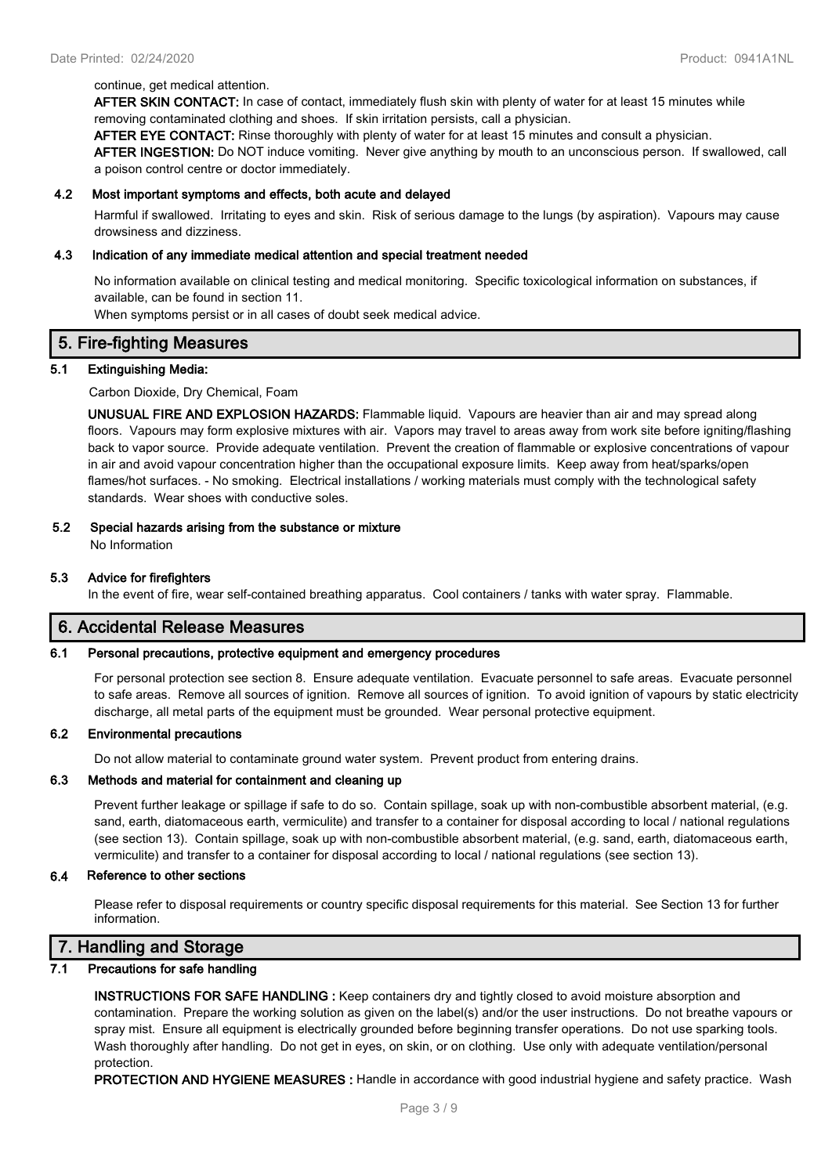#### continue, get medical attention.

**AFTER SKIN CONTACT:** In case of contact, immediately flush skin with plenty of water for at least 15 minutes while removing contaminated clothing and shoes. If skin irritation persists, call a physician.

**AFTER EYE CONTACT:** Rinse thoroughly with plenty of water for at least 15 minutes and consult a physician.

**AFTER INGESTION:** Do NOT induce vomiting. Never give anything by mouth to an unconscious person. If swallowed, call a poison control centre or doctor immediately.

#### **4.2 Most important symptoms and effects, both acute and delayed**

Harmful if swallowed. Irritating to eyes and skin. Risk of serious damage to the lungs (by aspiration). Vapours may cause drowsiness and dizziness.

#### **4.3 Indication of any immediate medical attention and special treatment needed**

No information available on clinical testing and medical monitoring. Specific toxicological information on substances, if available, can be found in section 11.

When symptoms persist or in all cases of doubt seek medical advice.

# **5. Fire-fighting Measures**

#### **5.1 Extinguishing Media:**

Carbon Dioxide, Dry Chemical, Foam

**UNUSUAL FIRE AND EXPLOSION HAZARDS:** Flammable liquid. Vapours are heavier than air and may spread along floors. Vapours may form explosive mixtures with air. Vapors may travel to areas away from work site before igniting/flashing back to vapor source. Provide adequate ventilation. Prevent the creation of flammable or explosive concentrations of vapour in air and avoid vapour concentration higher than the occupational exposure limits. Keep away from heat/sparks/open flames/hot surfaces. - No smoking. Electrical installations / working materials must comply with the technological safety standards. Wear shoes with conductive soles.

#### **5.2 Special hazards arising from the substance or mixture**

No Information

#### **5.3 Advice for firefighters**

In the event of fire, wear self-contained breathing apparatus. Cool containers / tanks with water spray. Flammable.

### **6. Accidental Release Measures**

#### **6.1 Personal precautions, protective equipment and emergency procedures**

For personal protection see section 8. Ensure adequate ventilation. Evacuate personnel to safe areas. Evacuate personnel to safe areas. Remove all sources of ignition. Remove all sources of ignition. To avoid ignition of vapours by static electricity discharge, all metal parts of the equipment must be grounded. Wear personal protective equipment.

#### **6.2 Environmental precautions**

Do not allow material to contaminate ground water system. Prevent product from entering drains.

#### **6.3 Methods and material for containment and cleaning up**

Prevent further leakage or spillage if safe to do so. Contain spillage, soak up with non-combustible absorbent material, (e.g. sand, earth, diatomaceous earth, vermiculite) and transfer to a container for disposal according to local / national regulations (see section 13). Contain spillage, soak up with non-combustible absorbent material, (e.g. sand, earth, diatomaceous earth, vermiculite) and transfer to a container for disposal according to local / national regulations (see section 13).

#### **6.4 Reference to other sections**

Please refer to disposal requirements or country specific disposal requirements for this material. See Section 13 for further information.

# **7. Handling and Storage**

### **7.1 Precautions for safe handling**

**INSTRUCTIONS FOR SAFE HANDLING :** Keep containers dry and tightly closed to avoid moisture absorption and contamination. Prepare the working solution as given on the label(s) and/or the user instructions. Do not breathe vapours or spray mist. Ensure all equipment is electrically grounded before beginning transfer operations. Do not use sparking tools. Wash thoroughly after handling. Do not get in eyes, on skin, or on clothing. Use only with adequate ventilation/personal protection.

**PROTECTION AND HYGIENE MEASURES :** Handle in accordance with good industrial hygiene and safety practice. Wash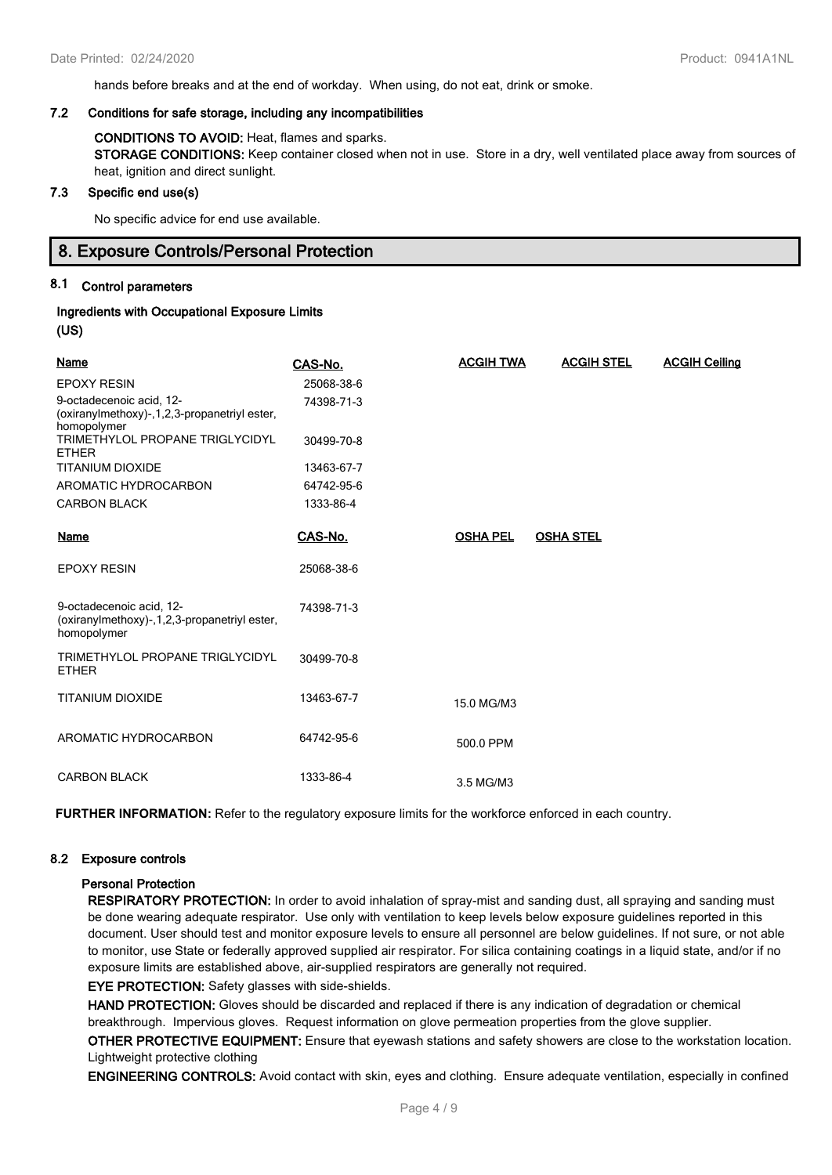hands before breaks and at the end of workday. When using, do not eat, drink or smoke.

#### **7.2 Conditions for safe storage, including any incompatibilities**

#### **CONDITIONS TO AVOID:** Heat, flames and sparks.

**STORAGE CONDITIONS:** Keep container closed when not in use. Store in a dry, well ventilated place away from sources of heat, ignition and direct sunlight.

#### **7.3 Specific end use(s)**

No specific advice for end use available.

# **8. Exposure Controls/Personal Protection**

#### **8.1 Control parameters**

# **Ingredients with Occupational Exposure Limits (US)**

| <b>Name</b>                                                                                | CAS-No.    | <b>ACGIH TWA</b> | <b>ACGIH STEL</b> | <b>ACGIH Ceiling</b> |
|--------------------------------------------------------------------------------------------|------------|------------------|-------------------|----------------------|
| <b>EPOXY RESIN</b>                                                                         | 25068-38-6 |                  |                   |                      |
| 9-octadecenoic acid, 12-<br>(oxiranylmethoxy)-, 1, 2, 3-propanetriyl ester,<br>homopolymer | 74398-71-3 |                  |                   |                      |
| TRIMETHYLOL PROPANE TRIGLYCIDYL<br><b>ETHER</b>                                            | 30499-70-8 |                  |                   |                      |
| <b>TITANIUM DIOXIDE</b>                                                                    | 13463-67-7 |                  |                   |                      |
| AROMATIC HYDROCARBON                                                                       | 64742-95-6 |                  |                   |                      |
| <b>CARBON BLACK</b>                                                                        | 1333-86-4  |                  |                   |                      |
| Name                                                                                       | CAS-No.    | <b>OSHA PEL</b>  | <b>OSHA STEL</b>  |                      |
| <b>EPOXY RESIN</b>                                                                         | 25068-38-6 |                  |                   |                      |
| 9-octadecenoic acid, 12-<br>(oxiranylmethoxy)-, 1, 2, 3-propanetriyl ester,<br>homopolymer | 74398-71-3 |                  |                   |                      |
| TRIMETHYLOL PROPANE TRIGLYCIDYL<br><b>ETHER</b>                                            | 30499-70-8 |                  |                   |                      |
| <b>TITANIUM DIOXIDE</b>                                                                    | 13463-67-7 | 15.0 MG/M3       |                   |                      |
| AROMATIC HYDROCARBON                                                                       | 64742-95-6 | 500.0 PPM        |                   |                      |
| <b>CARBON BLACK</b>                                                                        | 1333-86-4  | 3.5 MG/M3        |                   |                      |

**FURTHER INFORMATION:** Refer to the regulatory exposure limits for the workforce enforced in each country.

#### **8.2 Exposure controls**

#### **Personal Protection**

**RESPIRATORY PROTECTION:** In order to avoid inhalation of spray-mist and sanding dust, all spraying and sanding must be done wearing adequate respirator. Use only with ventilation to keep levels below exposure guidelines reported in this document. User should test and monitor exposure levels to ensure all personnel are below guidelines. If not sure, or not able to monitor, use State or federally approved supplied air respirator. For silica containing coatings in a liquid state, and/or if no exposure limits are established above, air-supplied respirators are generally not required.

**EYE PROTECTION:** Safety glasses with side-shields.

**HAND PROTECTION:** Gloves should be discarded and replaced if there is any indication of degradation or chemical breakthrough. Impervious gloves. Request information on glove permeation properties from the glove supplier.

**OTHER PROTECTIVE EQUIPMENT:** Ensure that eyewash stations and safety showers are close to the workstation location. Lightweight protective clothing

**ENGINEERING CONTROLS:** Avoid contact with skin, eyes and clothing. Ensure adequate ventilation, especially in confined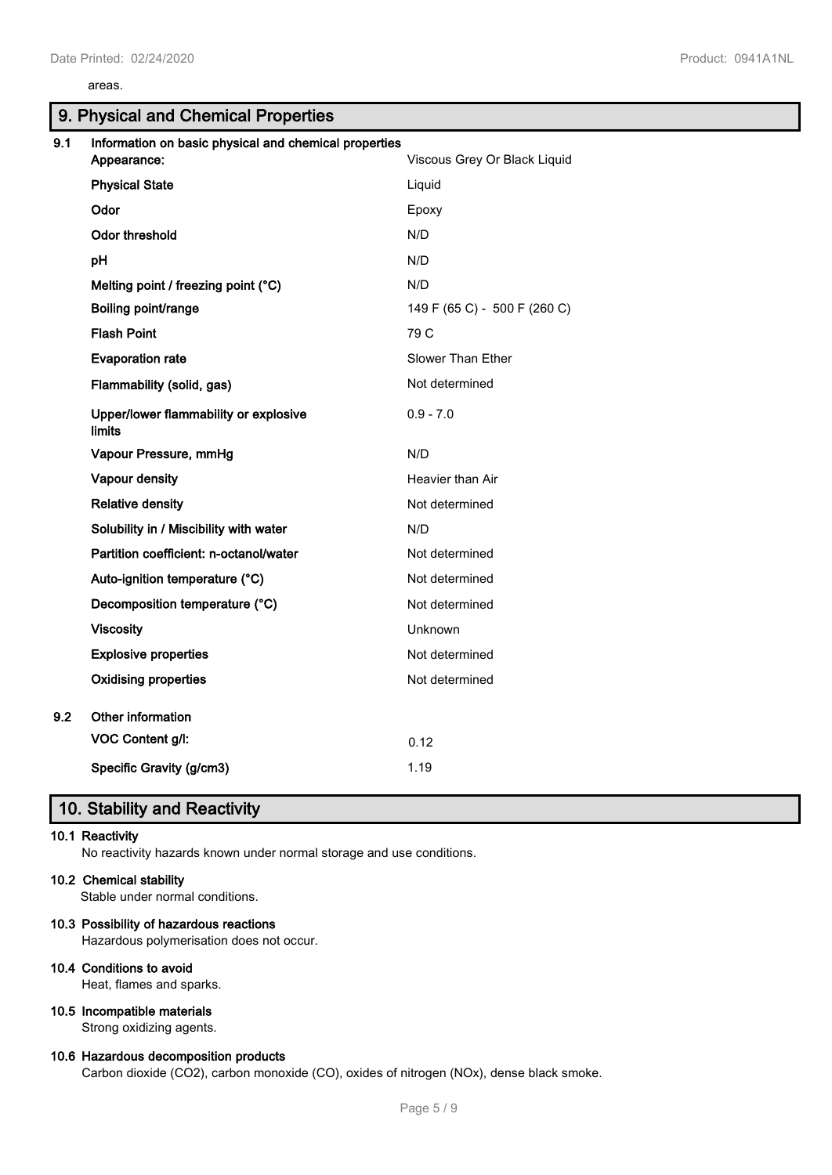#### areas.

|     | 9. Physical and Chemical Properties                    |                              |
|-----|--------------------------------------------------------|------------------------------|
| 9.1 | Information on basic physical and chemical properties  |                              |
|     | Appearance:                                            | Viscous Grey Or Black Liquid |
|     | <b>Physical State</b>                                  | Liquid                       |
|     | Odor                                                   | Epoxy                        |
|     | <b>Odor threshold</b>                                  | N/D                          |
|     | pH                                                     | N/D                          |
|     | Melting point / freezing point (°C)                    | N/D                          |
|     | Boiling point/range                                    | 149 F (65 C) - 500 F (260 C) |
|     | <b>Flash Point</b>                                     | 79 C                         |
|     | <b>Evaporation rate</b>                                | Slower Than Ether            |
|     | Flammability (solid, gas)                              | Not determined               |
|     | Upper/lower flammability or explosive<br><b>limits</b> | $0.9 - 7.0$                  |
|     | Vapour Pressure, mmHg                                  | N/D                          |
|     | Vapour density                                         | Heavier than Air             |
|     | <b>Relative density</b>                                | Not determined               |
|     | Solubility in / Miscibility with water                 | N/D                          |
|     | Partition coefficient: n-octanol/water                 | Not determined               |
|     | Auto-ignition temperature (°C)                         | Not determined               |
|     | Decomposition temperature (°C)                         | Not determined               |
|     | <b>Viscosity</b>                                       | Unknown                      |
|     | <b>Explosive properties</b>                            | Not determined               |
|     | <b>Oxidising properties</b>                            | Not determined               |
| 9.2 | Other information                                      |                              |
|     | VOC Content g/l:                                       | 0.12                         |
|     | Specific Gravity (g/cm3)                               | 1.19                         |
|     |                                                        |                              |

# **10. Stability and Reactivity**

# **10.1 Reactivity**

No reactivity hazards known under normal storage and use conditions.

# **10.2 Chemical stability**

Stable under normal conditions.

#### **10.3 Possibility of hazardous reactions**

Hazardous polymerisation does not occur.

### **10.4 Conditions to avoid**

Heat, flames and sparks.

### **10.5 Incompatible materials**

Strong oxidizing agents.

#### **10.6 Hazardous decomposition products**

Carbon dioxide (CO2), carbon monoxide (CO), oxides of nitrogen (NOx), dense black smoke.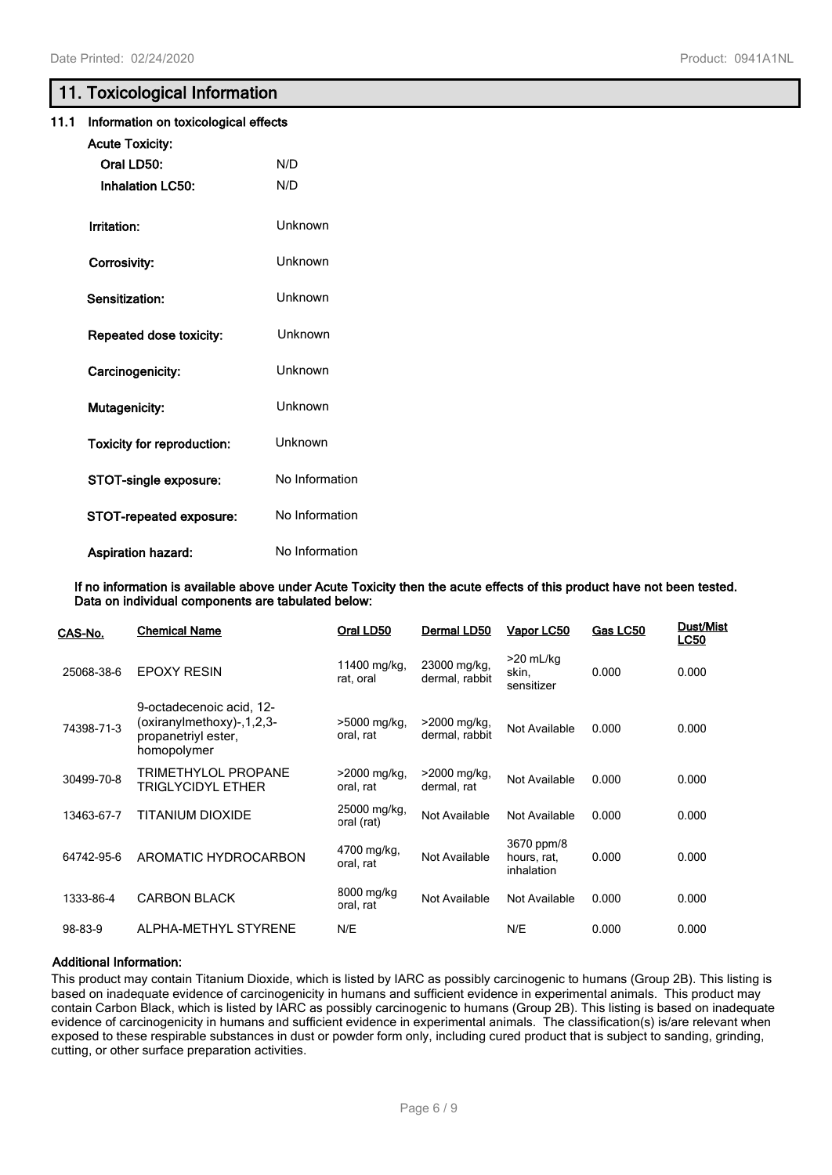# **11. Toxicological Information**

|      | --- ---- -                           |                |  |
|------|--------------------------------------|----------------|--|
| 11.1 | Information on toxicological effects |                |  |
|      | <b>Acute Toxicity:</b>               |                |  |
|      | Oral LD50:                           | N/D            |  |
|      | <b>Inhalation LC50:</b>              | N/D            |  |
|      | Irritation:                          | Unknown        |  |
|      | Corrosivity:                         | Unknown        |  |
|      | Sensitization:                       | Unknown        |  |
|      | Repeated dose toxicity:              | Unknown        |  |
|      | Carcinogenicity:                     | Unknown        |  |
|      | Mutagenicity:                        | Unknown        |  |
|      | <b>Toxicity for reproduction:</b>    | Unknown        |  |
|      | STOT-single exposure:                | No Information |  |
|      | STOT-repeated exposure:              | No Information |  |
|      | <b>Aspiration hazard:</b>            | No Information |  |

**If no information is available above under Acute Toxicity then the acute effects of this product have not been tested. Data on individual components are tabulated below:**

| CAS-No.    | <b>Chemical Name</b>                                                                           | Oral LD50                              | Dermal LD50                    | Vapor LC50                              | Gas LC50 | Dust/Mist<br><b>LC50</b> |
|------------|------------------------------------------------------------------------------------------------|----------------------------------------|--------------------------------|-----------------------------------------|----------|--------------------------|
| 25068-38-6 | <b>EPOXY RESIN</b>                                                                             | 11400 mg/kg,<br>rat, oral              | 23000 mg/kg,<br>dermal, rabbit | $>20$ mL/kg<br>skin,<br>sensitizer      | 0.000    | 0.000                    |
| 74398-71-3 | 9-octadecenoic acid, 12-<br>(oxiranylmethoxy)-, 1, 2, 3-<br>propanetriyl ester,<br>homopolymer | >5000 mg/kg,<br>oral, rat              | >2000 mg/kg,<br>dermal, rabbit | Not Available                           | 0.000    | 0.000                    |
| 30499-70-8 | TRIMETHYLOL PROPANE<br>TRIGLYCIDYL ETHER                                                       | $>2000 \,\mathrm{mag/kg}$<br>oral, rat | $>2000$ mg/kg,<br>dermal, rat  | Not Available                           | 0.000    | 0.000                    |
| 13463-67-7 | TITANIUM DIOXIDE                                                                               | 25000 mg/kg,<br>oral (rat)             | Not Available                  | Not Available                           | 0.000    | 0.000                    |
| 64742-95-6 | AROMATIC HYDROCARBON                                                                           | 4700 mg/kg,<br>oral, rat               | Not Available                  | 3670 ppm/8<br>hours, rat,<br>inhalation | 0.000    | 0.000                    |
| 1333-86-4  | <b>CARBON BLACK</b>                                                                            | 8000 mg/kg<br>oral, rat                | Not Available                  | Not Available                           | 0.000    | 0.000                    |
| 98-83-9    | ALPHA-METHYL STYRENE                                                                           | N/E                                    |                                | N/E                                     | 0.000    | 0.000                    |

#### **Additional Information:**

This product may contain Titanium Dioxide, which is listed by IARC as possibly carcinogenic to humans (Group 2B). This listing is based on inadequate evidence of carcinogenicity in humans and sufficient evidence in experimental animals. This product may contain Carbon Black, which is listed by IARC as possibly carcinogenic to humans (Group 2B). This listing is based on inadequate evidence of carcinogenicity in humans and sufficient evidence in experimental animals. The classification(s) is/are relevant when exposed to these respirable substances in dust or powder form only, including cured product that is subject to sanding, grinding, cutting, or other surface preparation activities.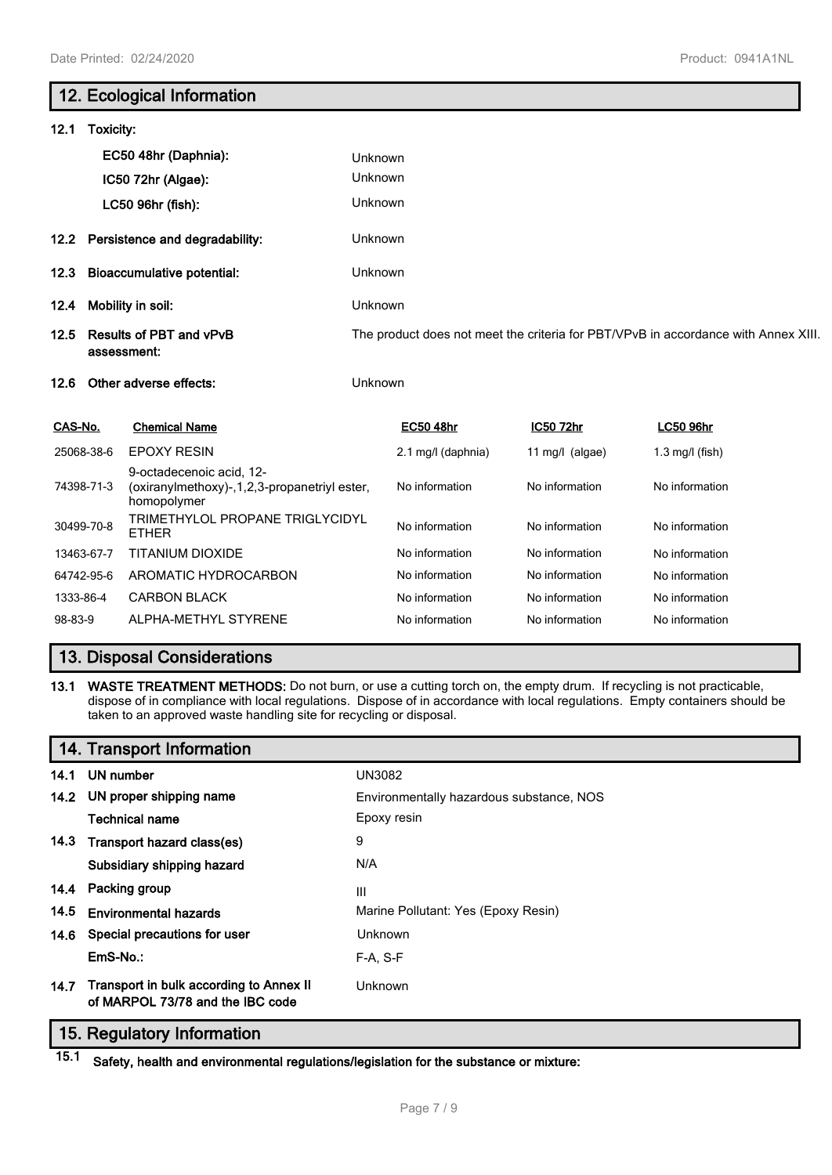# **12. Ecological Information 12.1 Toxicity: EC50 48hr (Daphnia):** Unknown **IC50 72hr (Algae):** Unknown **LC50 96hr (fish):** Unknown **12.2 Persistence and degradability:** Unknown **12.3 Bioaccumulative potential:** Unknown **12.4 Mobility in soil:** Unknown **12.5 Results of PBT and vPvB assessment:** The product does not meet the criteria for PBT/VPvB in accordance with Annex XIII. **12.6 Other adverse effects:** Unknown **CAS-No. Chemical Name EC50 48hr IC50 72hr LC50 96hr** 25068-38-6 EPOXY RESIN 2.1 mg/l (daphnia) 11 mg/l (algae) 1.3 mg/l (fish) 74398-71-3 9-octadecenoic acid, 12- (oxiranylmethoxy)-,1,2,3-propanetriyl ester, homopolymer No information No information No information 30499-70-8 TRIMETHYLOL PROPANE TRIGLYCIDYL TRIMETTTEOET NOT ANE THIGETOIDTE No information No information No information 13463-67-7 TITANIUM DIOXIDE No information No information No information No information 64742-95-6 AROMATIC HYDROCARBON No information No information No information 1333-86-4 CARBON BLACK No information No information No information No information

# **13. Disposal Considerations**

**13.1 WASTE TREATMENT METHODS:** Do not burn, or use a cutting torch on, the empty drum. If recycling is not practicable, dispose of in compliance with local regulations. Dispose of in accordance with local regulations. Empty containers should be taken to an approved waste handling site for recycling or disposal.

98-83-9 ALPHA-METHYL STYRENE No information No information No information No information

# **14. Transport Information**

|      | 14.1 UN number                                                              | <b>UN3082</b>                            |
|------|-----------------------------------------------------------------------------|------------------------------------------|
|      | 14.2 UN proper shipping name                                                | Environmentally hazardous substance, NOS |
|      | <b>Technical name</b>                                                       | Epoxy resin                              |
|      | 14.3 Transport hazard class(es)                                             | 9                                        |
|      | Subsidiary shipping hazard                                                  | N/A                                      |
|      | 14.4 Packing group                                                          | Ш                                        |
| 14.5 | <b>Environmental hazards</b>                                                | Marine Pollutant: Yes (Epoxy Resin)      |
|      | 14.6 Special precautions for user                                           | Unknown                                  |
|      | EmS-No.:                                                                    | F-A, S-F                                 |
| 14.7 | Transport in bulk according to Annex II<br>of MARPOL 73/78 and the IBC code | Unknown                                  |

# **15. Regulatory Information**

**15.1 Safety, health and environmental regulations/legislation for the substance or mixture:**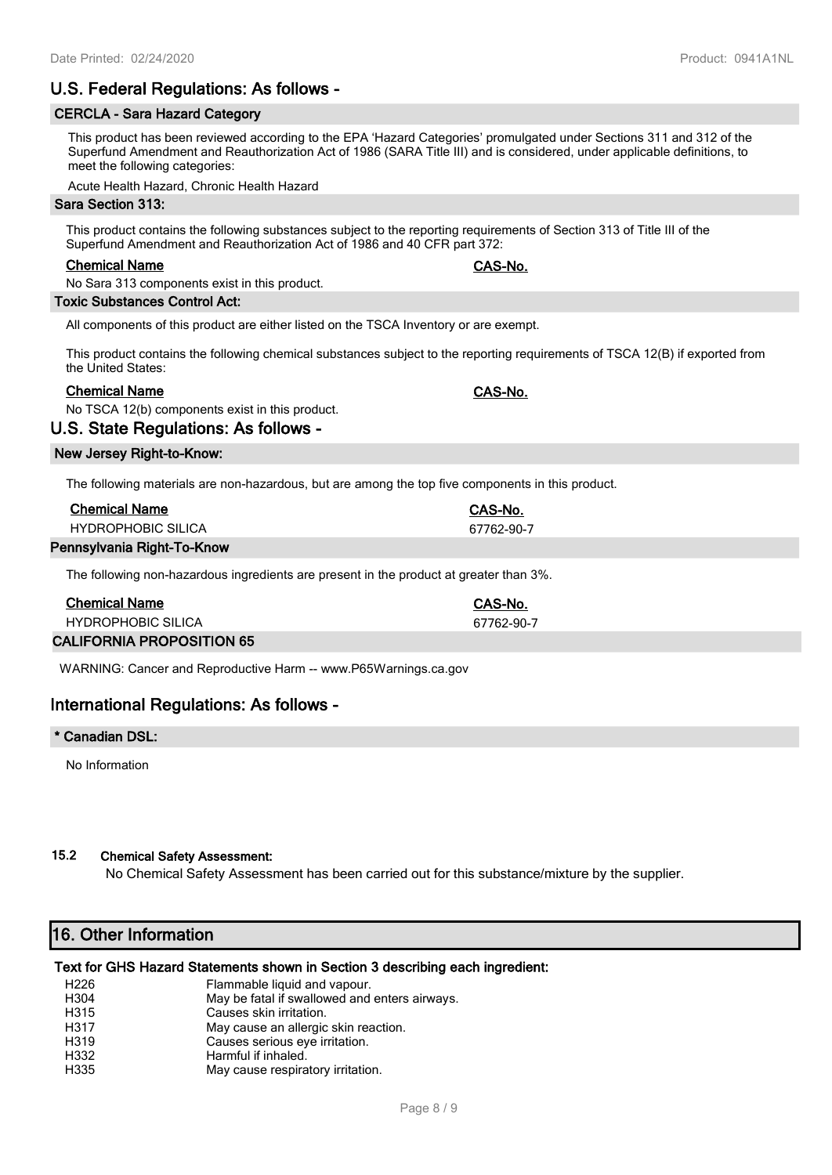# **U.S. Federal Regulations: As follows -**

# **CERCLA - Sara Hazard Category**

This product has been reviewed according to the EPA 'Hazard Categories' promulgated under Sections 311 and 312 of the Superfund Amendment and Reauthorization Act of 1986 (SARA Title III) and is considered, under applicable definitions, to meet the following categories:

Acute Health Hazard, Chronic Health Hazard

#### **Sara Section 313:**

This product contains the following substances subject to the reporting requirements of Section 313 of Title III of the Superfund Amendment and Reauthorization Act of 1986 and 40 CFR part 372:

#### **Chemical Name CAS-No.**

No Sara 313 components exist in this product.

#### **Toxic Substances Control Act:**

All components of this product are either listed on the TSCA Inventory or are exempt.

This product contains the following chemical substances subject to the reporting requirements of TSCA 12(B) if exported from the United States:

### **Chemical Name CAS-No.**

No TSCA 12(b) components exist in this product.

### **U.S. State Regulations: As follows -**

#### **New Jersey Right-to-Know:**

The following materials are non-hazardous, but are among the top five components in this product.

| <b>Chemical Name</b>      | CAS-No.    |
|---------------------------|------------|
| <b>HYDROPHOBIC SILICA</b> | 67762-90-7 |
| -----                     |            |

#### **Pennsylvania Right-To-Know**

The following non-hazardous ingredients are present in the product at greater than 3%.

| <b>Chemical Name</b>             | CAS-No.    |
|----------------------------------|------------|
| <b>HYDROPHOBIC SILICA</b>        | 67762-90-7 |
| <b>CALIFORNIA PROPOSITION 65</b> |            |

WARNING: Cancer and Reproductive Harm -- www.P65Warnings.ca.gov

# **International Regulations: As follows -**

#### **\* Canadian DSL:**

No Information

### **15.2 Chemical Safety Assessment:**

No Chemical Safety Assessment has been carried out for this substance/mixture by the supplier.

# **16. Other Information**

#### **Text for GHS Hazard Statements shown in Section 3 describing each ingredient:**

| H <sub>226</sub>  | Flammable liquid and vapour.                  |
|-------------------|-----------------------------------------------|
| H304              | May be fatal if swallowed and enters airways. |
| H315              | Causes skin irritation.                       |
| H317              | May cause an allergic skin reaction.          |
| H <sub>3</sub> 19 | Causes serious eye irritation.                |
| H332              | Harmful if inhaled.                           |
| H335              | May cause respiratory irritation.             |